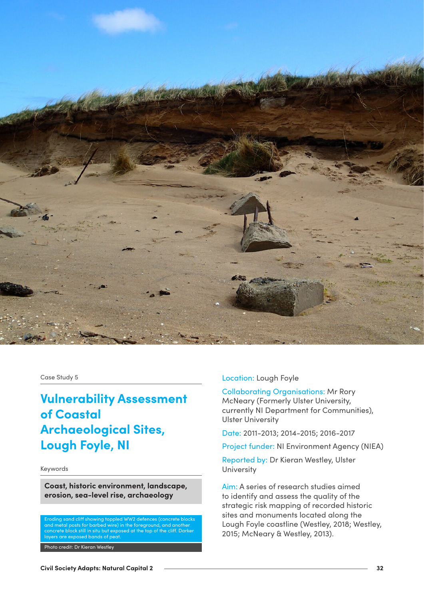

Case Study 5

# **Vulnerability Assessment of Coastal Archaeological Sites, Lough Foyle, NI**

Keywords

**Coast, historic environment, landscape, erosion, sea-level rise, archaeology**

Eroding sand cliff showing toppled WW2 defences (concrete blocks and metal posts for barbed wire) in the foreground, and another ncrete block still in situ but exposed at the top of the cliff. Darker layers are exposed bands of peat.

Photo credit: Dr Kieran Westley

## Location: Lough Foyle

Collaborating Organisations: Mr Rory McNeary (Formerly Ulster University, currently NI Department for Communities), Ulster University

Date: 2011-2013; 2014-2015; 2016-2017

Project funder: NI Environment Agency (NIEA)

Reported by: Dr Kieran Westley, Ulster **University** 

Aim: A series of research studies aimed to identify and assess the quality of the strategic risk mapping of recorded historic sites and monuments located along the Lough Foyle coastline (Westley, 2018; Westley, 2015; McNeary & Westley, 2013).